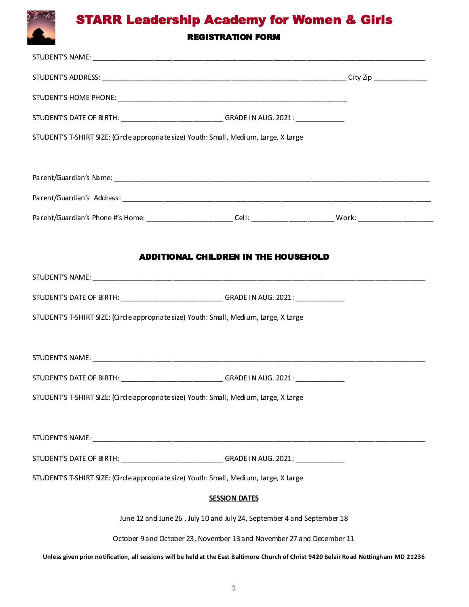# STARR Leadership Academy for Women & Girls

### REGISTRATION FORM

| STUDENT'S DATE OF BIRTH: _____________________________GRADE IN AUG. 2021: _____________                                                |  |  |  |
|----------------------------------------------------------------------------------------------------------------------------------------|--|--|--|
| STUDENT'S T-SHIRT SIZE: (Circle appropriate size) Youth: Small, Medium, Large, X Large                                                 |  |  |  |
|                                                                                                                                        |  |  |  |
|                                                                                                                                        |  |  |  |
|                                                                                                                                        |  |  |  |
|                                                                                                                                        |  |  |  |
|                                                                                                                                        |  |  |  |
| <b>ADDITIONAL CHILDREN IN THE HOUSEHOLD</b>                                                                                            |  |  |  |
|                                                                                                                                        |  |  |  |
| STUDENT'S DATE OF BIRTH: _______________________________GRADE IN AUG. 2021: ___________                                                |  |  |  |
| STUDENT'S T-SHIRT SIZE: (Circle appropriate size) Youth: Small, Medium, Large, X Large                                                 |  |  |  |
|                                                                                                                                        |  |  |  |
|                                                                                                                                        |  |  |  |
| STUDENT'S DATE OF BIRTH: ______________________________GRADE IN AUG. 2021: ____________                                                |  |  |  |
| STUDENT'S T-SHIRT SIZE: (Circle appropriate size) Youth: Small, Medium, Large, X Large                                                 |  |  |  |
|                                                                                                                                        |  |  |  |
|                                                                                                                                        |  |  |  |
| STUDENT'S DATE OF BIRTH: _____________________________GRADE IN AUG. 2021: _____________                                                |  |  |  |
| STUDENT'S T-SHIRT SIZE: (Circle appropriate size) Youth: Small, Medium, Large, X Large                                                 |  |  |  |
| <b>SESSION DATES</b>                                                                                                                   |  |  |  |
| June 12 and June 26, July 10 and July 24, September 4 and September 18                                                                 |  |  |  |
| October 9 and October 23, November 13 and November 27 and December 11                                                                  |  |  |  |
| Unless given prior notification, all sessions will be held at the East Baltimore Church of Christ 9420 Belair Road Nottingham MD 21236 |  |  |  |